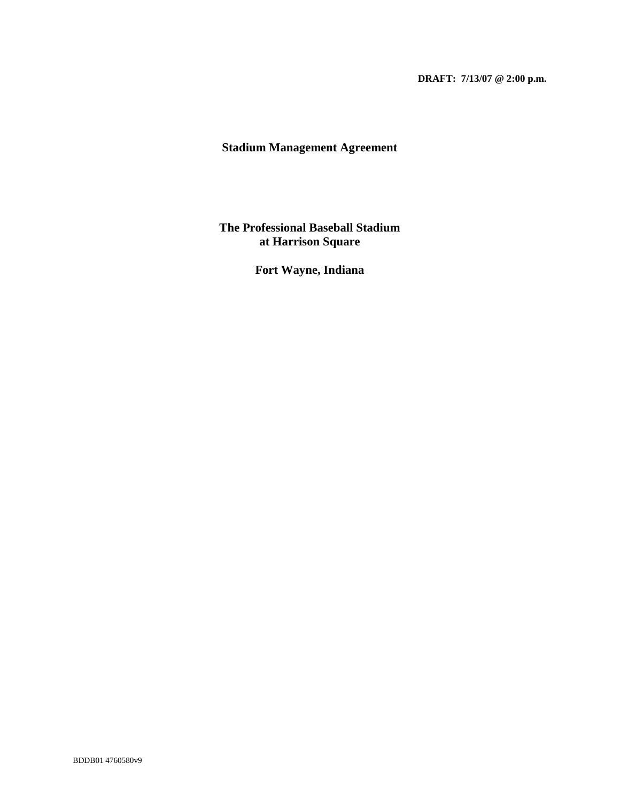**DRAFT: 7/13/07 @ 2:00 p.m.** 

# **Stadium Management Agreement**

# **The Professional Baseball Stadium at Harrison Square**

# **Fort Wayne, Indiana**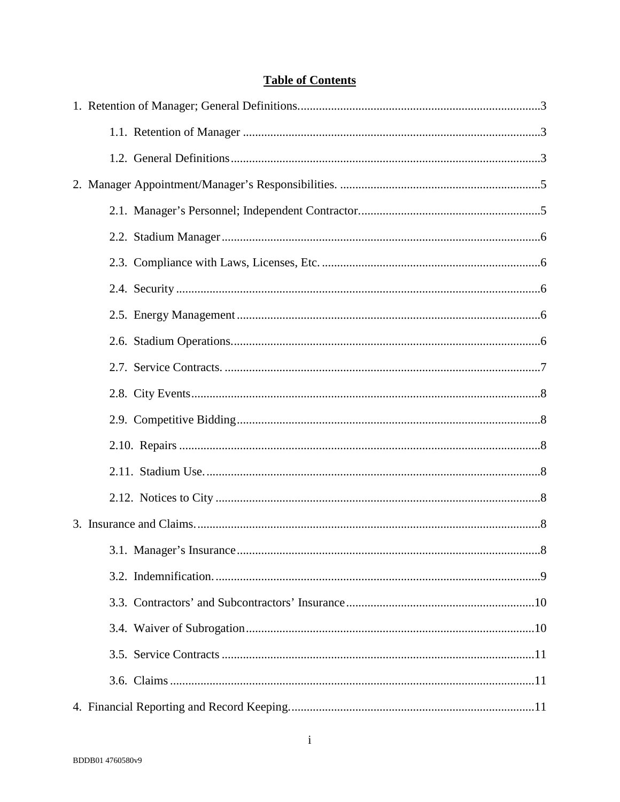# **Table of Contents**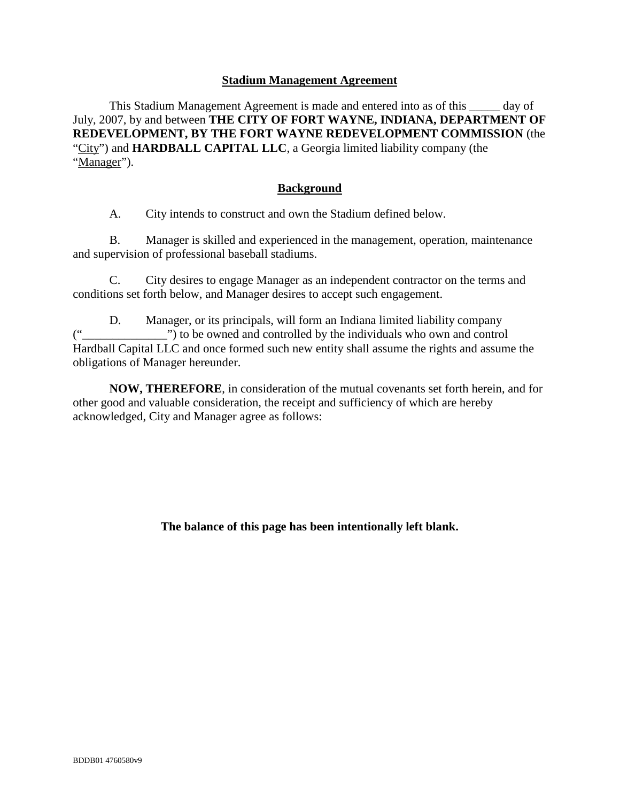#### **Stadium Management Agreement**

 This Stadium Management Agreement is made and entered into as of this \_\_\_\_\_ day of July, 2007, by and between **THE CITY OF FORT WAYNE, INDIANA, DEPARTMENT OF REDEVELOPMENT, BY THE FORT WAYNE REDEVELOPMENT COMMISSION** (the "City") and **HARDBALL CAPITAL LLC**, a Georgia limited liability company (the "Manager").

#### **Background**

A. City intends to construct and own the Stadium defined below.

 B. Manager is skilled and experienced in the management, operation, maintenance and supervision of professional baseball stadiums.

 C. City desires to engage Manager as an independent contractor on the terms and conditions set forth below, and Manager desires to accept such engagement.

 D. Manager, or its principals, will form an Indiana limited liability company ("\_\_\_\_\_\_\_\_\_\_\_\_\_\_") to be owned and controlled by the individuals who own and control Hardball Capital LLC and once formed such new entity shall assume the rights and assume the obligations of Manager hereunder.

 **NOW, THEREFORE**, in consideration of the mutual covenants set forth herein, and for other good and valuable consideration, the receipt and sufficiency of which are hereby acknowledged, City and Manager agree as follows:

**The balance of this page has been intentionally left blank.**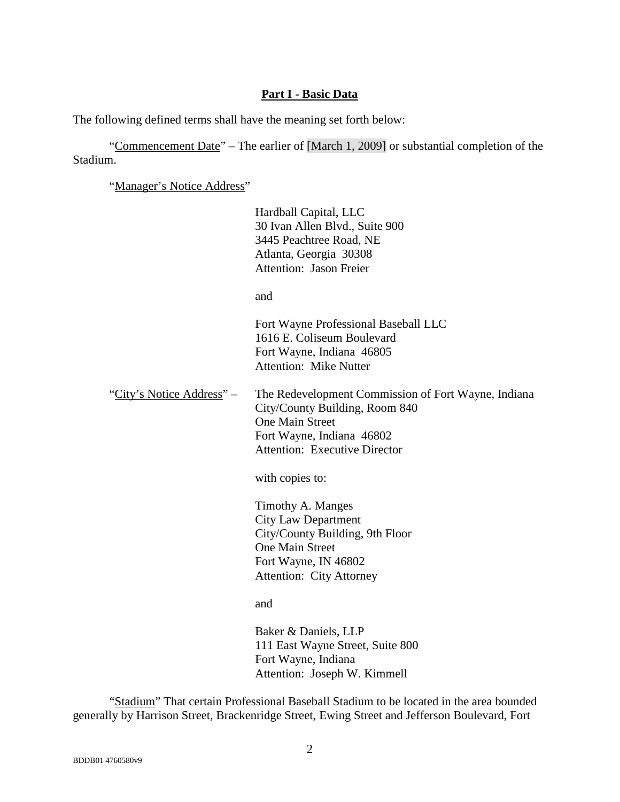## **Part I - Basic Data**

The following defined terms shall have the meaning set forth below:

"Commencement Date" – The earlier of [March 1, 2009] or substantial completion of the Stadium.

"Manager's Notice Address"

Hardball Capital, LLC 30 Ivan Allen Blvd., Suite 900 3445 Peachtree Road, NE Atlanta, Georgia 30308 Attention: Jason Freier

and

Fort Wayne Professional Baseball LLC 1616 E. Coliseum Boulevard Fort Wayne, Indiana 46805 Attention: Mike Nutter

"City's Notice Address" – The Redevelopment Commission of Fort Wayne, Indiana City/County Building, Room 840 One Main Street Fort Wayne, Indiana 46802 Attention: Executive Director

with copies to:

 Timothy A. Manges City Law Department City/County Building, 9th Floor One Main Street Fort Wayne, IN 46802 Attention: City Attorney

and

Baker & Daniels, LLP 111 East Wayne Street, Suite 800 Fort Wayne, Indiana Attention: Joseph W. Kimmell

"Stadium" That certain Professional Baseball Stadium to be located in the area bounded generally by Harrison Street, Brackenridge Street, Ewing Street and Jefferson Boulevard, Fort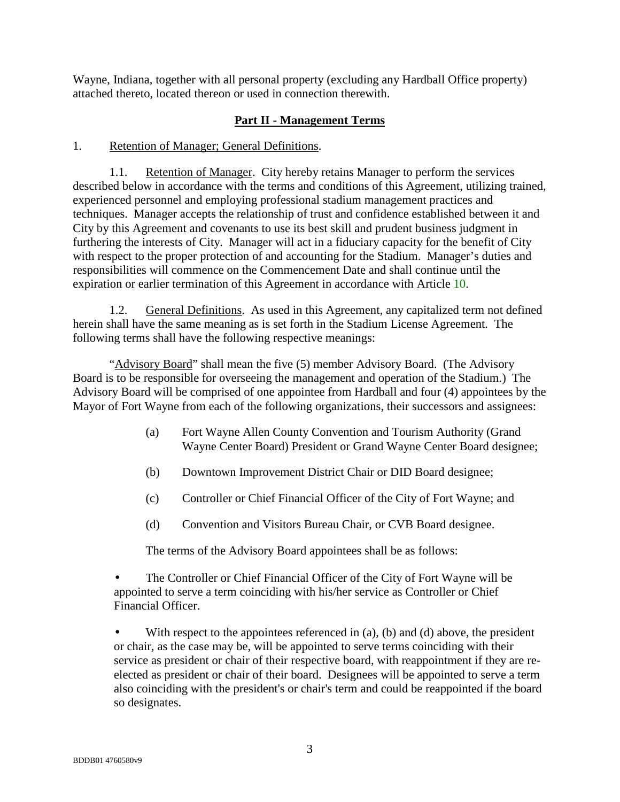Wayne, Indiana, together with all personal property (excluding any Hardball Office property) attached thereto, located thereon or used in connection therewith.

# **Part II - Management Terms**

## 1. Retention of Manager; General Definitions.

1.1. Retention of Manager. City hereby retains Manager to perform the services described below in accordance with the terms and conditions of this Agreement, utilizing trained, experienced personnel and employing professional stadium management practices and techniques. Manager accepts the relationship of trust and confidence established between it and City by this Agreement and covenants to use its best skill and prudent business judgment in furthering the interests of City. Manager will act in a fiduciary capacity for the benefit of City with respect to the proper protection of and accounting for the Stadium. Manager's duties and responsibilities will commence on the Commencement Date and shall continue until the expiration or earlier termination of this Agreement in accordance with Article 10.

1.2. General Definitions. As used in this Agreement, any capitalized term not defined herein shall have the same meaning as is set forth in the Stadium License Agreement. The following terms shall have the following respective meanings:

"Advisory Board" shall mean the five (5) member Advisory Board. (The Advisory Board is to be responsible for overseeing the management and operation of the Stadium.) The Advisory Board will be comprised of one appointee from Hardball and four (4) appointees by the Mayor of Fort Wayne from each of the following organizations, their successors and assignees:

- (a) Fort Wayne Allen County Convention and Tourism Authority (Grand Wayne Center Board) President or Grand Wayne Center Board designee;
- (b) Downtown Improvement District Chair or DID Board designee;
- (c) Controller or Chief Financial Officer of the City of Fort Wayne; and
- (d) Convention and Visitors Bureau Chair, or CVB Board designee.

The terms of the Advisory Board appointees shall be as follows:

• The Controller or Chief Financial Officer of the City of Fort Wayne will be appointed to serve a term coinciding with his/her service as Controller or Chief Financial Officer.

With respect to the appointees referenced in  $(a)$ ,  $(b)$  and  $(d)$  above, the president or chair, as the case may be, will be appointed to serve terms coinciding with their service as president or chair of their respective board, with reappointment if they are reelected as president or chair of their board. Designees will be appointed to serve a term also coinciding with the president's or chair's term and could be reappointed if the board so designates.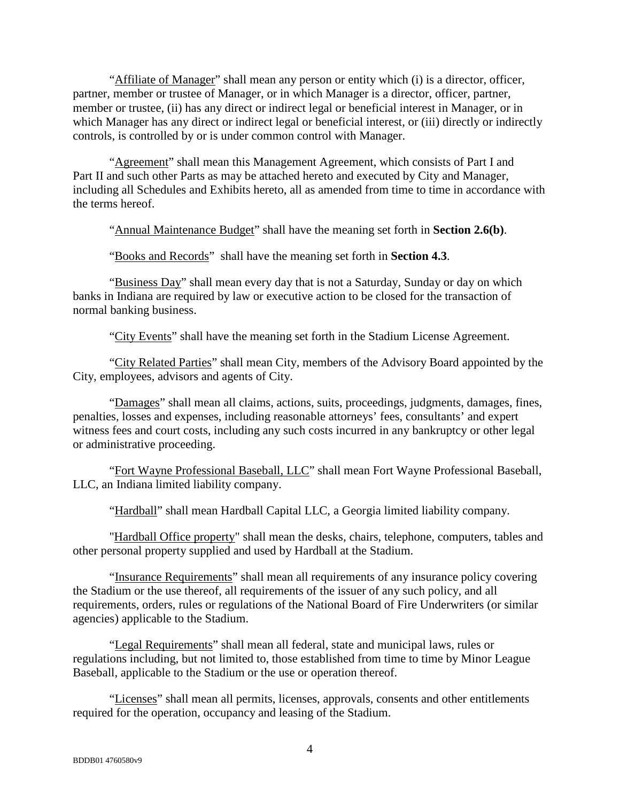"Affiliate of Manager" shall mean any person or entity which (i) is a director, officer, partner, member or trustee of Manager, or in which Manager is a director, officer, partner, member or trustee, (ii) has any direct or indirect legal or beneficial interest in Manager, or in which Manager has any direct or indirect legal or beneficial interest, or (iii) directly or indirectly controls, is controlled by or is under common control with Manager.

"Agreement" shall mean this Management Agreement, which consists of Part I and Part II and such other Parts as may be attached hereto and executed by City and Manager, including all Schedules and Exhibits hereto, all as amended from time to time in accordance with the terms hereof.

"Annual Maintenance Budget" shall have the meaning set forth in **Section 2.6(b)**.

"Books and Records" shall have the meaning set forth in **Section 4.3**.

"Business Day" shall mean every day that is not a Saturday, Sunday or day on which banks in Indiana are required by law or executive action to be closed for the transaction of normal banking business.

"City Events" shall have the meaning set forth in the Stadium License Agreement.

"City Related Parties" shall mean City, members of the Advisory Board appointed by the City, employees, advisors and agents of City.

"Damages" shall mean all claims, actions, suits, proceedings, judgments, damages, fines, penalties, losses and expenses, including reasonable attorneys' fees, consultants' and expert witness fees and court costs, including any such costs incurred in any bankruptcy or other legal or administrative proceeding.

"Fort Wayne Professional Baseball, LLC" shall mean Fort Wayne Professional Baseball, LLC, an Indiana limited liability company.

"Hardball" shall mean Hardball Capital LLC, a Georgia limited liability company.

"Hardball Office property" shall mean the desks, chairs, telephone, computers, tables and other personal property supplied and used by Hardball at the Stadium.

"Insurance Requirements" shall mean all requirements of any insurance policy covering the Stadium or the use thereof, all requirements of the issuer of any such policy, and all requirements, orders, rules or regulations of the National Board of Fire Underwriters (or similar agencies) applicable to the Stadium.

"Legal Requirements" shall mean all federal, state and municipal laws, rules or regulations including, but not limited to, those established from time to time by Minor League Baseball, applicable to the Stadium or the use or operation thereof.

"Licenses" shall mean all permits, licenses, approvals, consents and other entitlements required for the operation, occupancy and leasing of the Stadium.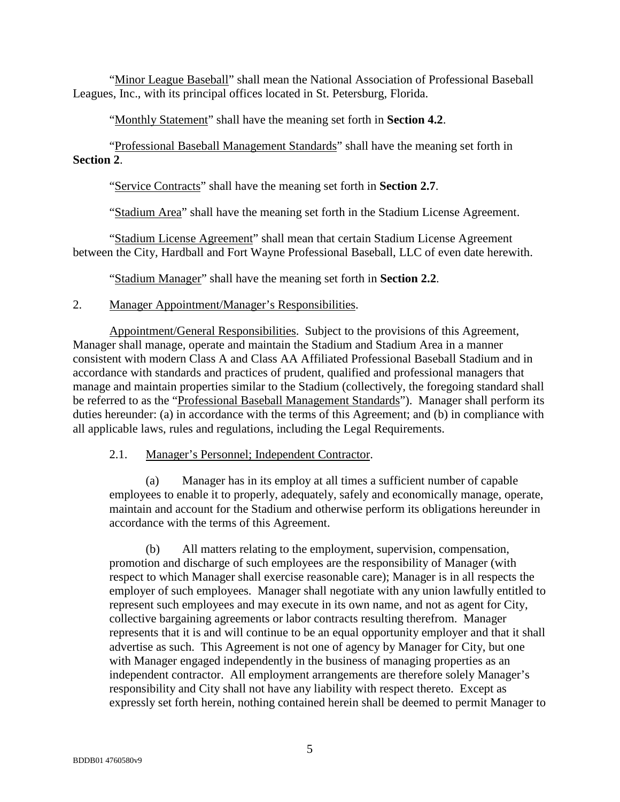"Minor League Baseball" shall mean the National Association of Professional Baseball Leagues, Inc., with its principal offices located in St. Petersburg, Florida.

"Monthly Statement" shall have the meaning set forth in **Section 4.2**.

"Professional Baseball Management Standards" shall have the meaning set forth in **Section 2**.

"Service Contracts" shall have the meaning set forth in **Section 2.7**.

"Stadium Area" shall have the meaning set forth in the Stadium License Agreement.

"Stadium License Agreement" shall mean that certain Stadium License Agreement between the City, Hardball and Fort Wayne Professional Baseball, LLC of even date herewith.

"Stadium Manager" shall have the meaning set forth in **Section 2.2**.

### 2. Manager Appointment/Manager's Responsibilities.

Appointment/General Responsibilities. Subject to the provisions of this Agreement, Manager shall manage, operate and maintain the Stadium and Stadium Area in a manner consistent with modern Class A and Class AA Affiliated Professional Baseball Stadium and in accordance with standards and practices of prudent, qualified and professional managers that manage and maintain properties similar to the Stadium (collectively, the foregoing standard shall be referred to as the "Professional Baseball Management Standards"). Manager shall perform its duties hereunder: (a) in accordance with the terms of this Agreement; and (b) in compliance with all applicable laws, rules and regulations, including the Legal Requirements.

### 2.1. Manager's Personnel; Independent Contractor.

(a) Manager has in its employ at all times a sufficient number of capable employees to enable it to properly, adequately, safely and economically manage, operate, maintain and account for the Stadium and otherwise perform its obligations hereunder in accordance with the terms of this Agreement.

(b) All matters relating to the employment, supervision, compensation, promotion and discharge of such employees are the responsibility of Manager (with respect to which Manager shall exercise reasonable care); Manager is in all respects the employer of such employees. Manager shall negotiate with any union lawfully entitled to represent such employees and may execute in its own name, and not as agent for City, collective bargaining agreements or labor contracts resulting therefrom. Manager represents that it is and will continue to be an equal opportunity employer and that it shall advertise as such. This Agreement is not one of agency by Manager for City, but one with Manager engaged independently in the business of managing properties as an independent contractor. All employment arrangements are therefore solely Manager's responsibility and City shall not have any liability with respect thereto. Except as expressly set forth herein, nothing contained herein shall be deemed to permit Manager to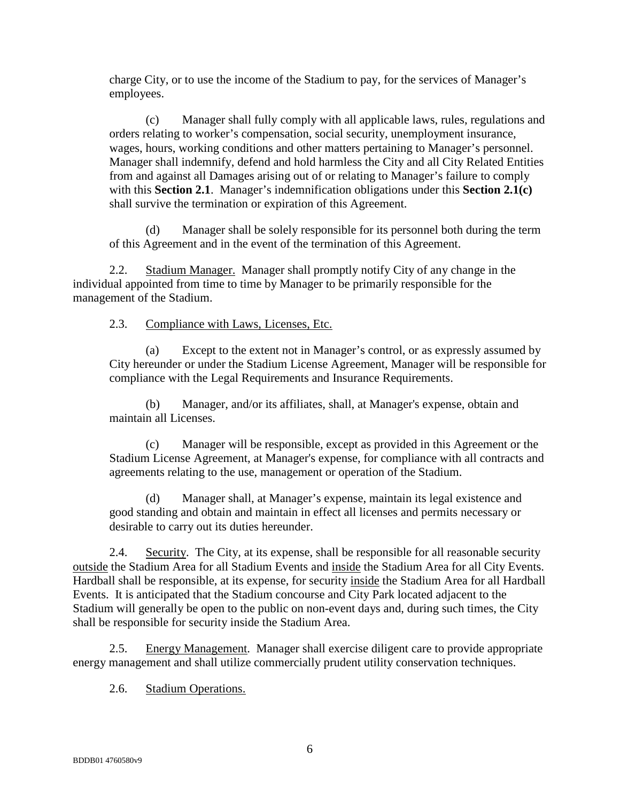charge City, or to use the income of the Stadium to pay, for the services of Manager's employees.

(c) Manager shall fully comply with all applicable laws, rules, regulations and orders relating to worker's compensation, social security, unemployment insurance, wages, hours, working conditions and other matters pertaining to Manager's personnel. Manager shall indemnify, defend and hold harmless the City and all City Related Entities from and against all Damages arising out of or relating to Manager's failure to comply with this **Section 2.1**. Manager's indemnification obligations under this **Section 2.1(c)** shall survive the termination or expiration of this Agreement.

(d) Manager shall be solely responsible for its personnel both during the term of this Agreement and in the event of the termination of this Agreement.

2.2. Stadium Manager. Manager shall promptly notify City of any change in the individual appointed from time to time by Manager to be primarily responsible for the management of the Stadium.

## 2.3. Compliance with Laws, Licenses, Etc.

(a) Except to the extent not in Manager's control, or as expressly assumed by City hereunder or under the Stadium License Agreement, Manager will be responsible for compliance with the Legal Requirements and Insurance Requirements.

(b) Manager, and/or its affiliates, shall, at Manager's expense, obtain and maintain all Licenses.

(c) Manager will be responsible, except as provided in this Agreement or the Stadium License Agreement, at Manager's expense, for compliance with all contracts and agreements relating to the use, management or operation of the Stadium.

(d) Manager shall, at Manager's expense, maintain its legal existence and good standing and obtain and maintain in effect all licenses and permits necessary or desirable to carry out its duties hereunder.

2.4. Security. The City, at its expense, shall be responsible for all reasonable security outside the Stadium Area for all Stadium Events and inside the Stadium Area for all City Events. Hardball shall be responsible, at its expense, for security inside the Stadium Area for all Hardball Events. It is anticipated that the Stadium concourse and City Park located adjacent to the Stadium will generally be open to the public on non-event days and, during such times, the City shall be responsible for security inside the Stadium Area.

2.5. Energy Management. Manager shall exercise diligent care to provide appropriate energy management and shall utilize commercially prudent utility conservation techniques.

2.6. Stadium Operations.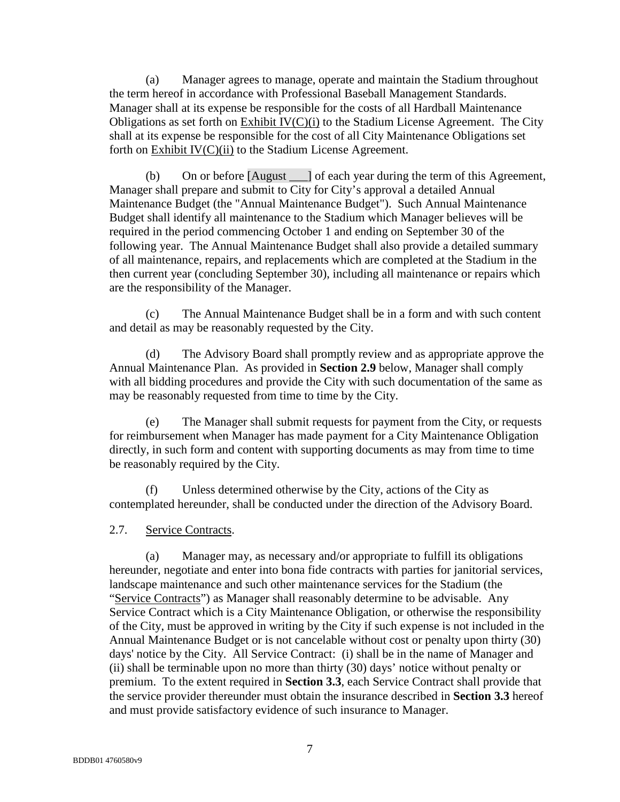(a) Manager agrees to manage, operate and maintain the Stadium throughout the term hereof in accordance with Professional Baseball Management Standards. Manager shall at its expense be responsible for the costs of all Hardball Maintenance Obligations as set forth on Exhibit  $IV(C)(i)$  to the Stadium License Agreement. The City shall at its expense be responsible for the cost of all City Maintenance Obligations set forth on Exhibit IV(C)(ii) to the Stadium License Agreement.

(b) On or before [August \_\_\_] of each year during the term of this Agreement, Manager shall prepare and submit to City for City's approval a detailed Annual Maintenance Budget (the "Annual Maintenance Budget"). Such Annual Maintenance Budget shall identify all maintenance to the Stadium which Manager believes will be required in the period commencing October 1 and ending on September 30 of the following year. The Annual Maintenance Budget shall also provide a detailed summary of all maintenance, repairs, and replacements which are completed at the Stadium in the then current year (concluding September 30), including all maintenance or repairs which are the responsibility of the Manager.

(c) The Annual Maintenance Budget shall be in a form and with such content and detail as may be reasonably requested by the City.

(d) The Advisory Board shall promptly review and as appropriate approve the Annual Maintenance Plan. As provided in **Section 2.9** below, Manager shall comply with all bidding procedures and provide the City with such documentation of the same as may be reasonably requested from time to time by the City.

(e) The Manager shall submit requests for payment from the City, or requests for reimbursement when Manager has made payment for a City Maintenance Obligation directly, in such form and content with supporting documents as may from time to time be reasonably required by the City.

(f) Unless determined otherwise by the City, actions of the City as contemplated hereunder, shall be conducted under the direction of the Advisory Board.

### 2.7. Service Contracts.

(a) Manager may, as necessary and/or appropriate to fulfill its obligations hereunder, negotiate and enter into bona fide contracts with parties for janitorial services, landscape maintenance and such other maintenance services for the Stadium (the "Service Contracts") as Manager shall reasonably determine to be advisable. Any Service Contract which is a City Maintenance Obligation, or otherwise the responsibility of the City, must be approved in writing by the City if such expense is not included in the Annual Maintenance Budget or is not cancelable without cost or penalty upon thirty (30) days' notice by the City. All Service Contract: (i) shall be in the name of Manager and (ii) shall be terminable upon no more than thirty (30) days' notice without penalty or premium. To the extent required in **Section 3.3**, each Service Contract shall provide that the service provider thereunder must obtain the insurance described in **Section 3.3** hereof and must provide satisfactory evidence of such insurance to Manager.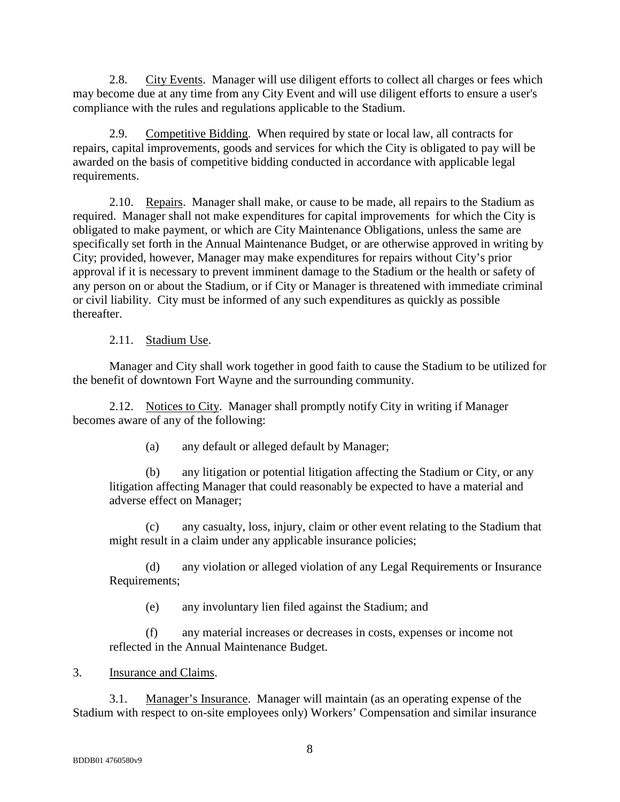2.8. City Events. Manager will use diligent efforts to collect all charges or fees which may become due at any time from any City Event and will use diligent efforts to ensure a user's compliance with the rules and regulations applicable to the Stadium.

2.9. Competitive Bidding. When required by state or local law, all contracts for repairs, capital improvements, goods and services for which the City is obligated to pay will be awarded on the basis of competitive bidding conducted in accordance with applicable legal requirements.

2.10. Repairs. Manager shall make, or cause to be made, all repairs to the Stadium as required. Manager shall not make expenditures for capital improvements for which the City is obligated to make payment, or which are City Maintenance Obligations, unless the same are specifically set forth in the Annual Maintenance Budget, or are otherwise approved in writing by City; provided, however, Manager may make expenditures for repairs without City's prior approval if it is necessary to prevent imminent damage to the Stadium or the health or safety of any person on or about the Stadium, or if City or Manager is threatened with immediate criminal or civil liability. City must be informed of any such expenditures as quickly as possible thereafter.

# 2.11. Stadium Use.

 Manager and City shall work together in good faith to cause the Stadium to be utilized for the benefit of downtown Fort Wayne and the surrounding community.

2.12. Notices to City. Manager shall promptly notify City in writing if Manager becomes aware of any of the following:

(a) any default or alleged default by Manager;

(b) any litigation or potential litigation affecting the Stadium or City, or any litigation affecting Manager that could reasonably be expected to have a material and adverse effect on Manager;

(c) any casualty, loss, injury, claim or other event relating to the Stadium that might result in a claim under any applicable insurance policies;

(d) any violation or alleged violation of any Legal Requirements or Insurance Requirements;

(e) any involuntary lien filed against the Stadium; and

(f) any material increases or decreases in costs, expenses or income not reflected in the Annual Maintenance Budget.

### 3. Insurance and Claims.

3.1. Manager's Insurance. Manager will maintain (as an operating expense of the Stadium with respect to on-site employees only) Workers' Compensation and similar insurance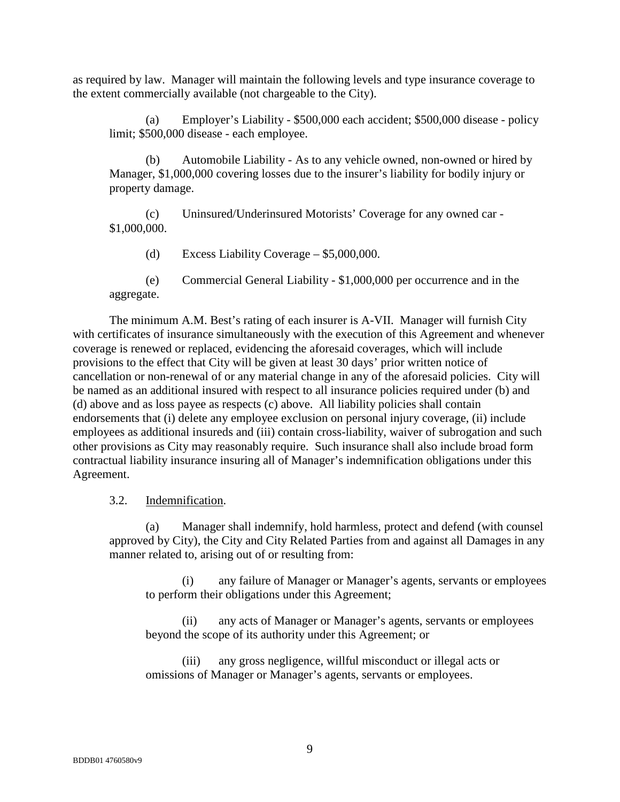as required by law. Manager will maintain the following levels and type insurance coverage to the extent commercially available (not chargeable to the City).

(a) Employer's Liability - \$500,000 each accident; \$500,000 disease - policy limit; \$500,000 disease - each employee.

(b) Automobile Liability - As to any vehicle owned, non-owned or hired by Manager, \$1,000,000 covering losses due to the insurer's liability for bodily injury or property damage.

(c) Uninsured/Underinsured Motorists' Coverage for any owned car - \$1,000,000.

(d) Excess Liability Coverage – \$5,000,000.

(e) Commercial General Liability - \$1,000,000 per occurrence and in the aggregate.

The minimum A.M. Best's rating of each insurer is A-VII. Manager will furnish City with certificates of insurance simultaneously with the execution of this Agreement and whenever coverage is renewed or replaced, evidencing the aforesaid coverages, which will include provisions to the effect that City will be given at least 30 days' prior written notice of cancellation or non-renewal of or any material change in any of the aforesaid policies. City will be named as an additional insured with respect to all insurance policies required under (b) and (d) above and as loss payee as respects (c) above. All liability policies shall contain endorsements that (i) delete any employee exclusion on personal injury coverage, (ii) include employees as additional insureds and (iii) contain cross-liability, waiver of subrogation and such other provisions as City may reasonably require. Such insurance shall also include broad form contractual liability insurance insuring all of Manager's indemnification obligations under this Agreement.

3.2. Indemnification.

(a) Manager shall indemnify, hold harmless, protect and defend (with counsel approved by City), the City and City Related Parties from and against all Damages in any manner related to, arising out of or resulting from:

(i) any failure of Manager or Manager's agents, servants or employees to perform their obligations under this Agreement;

(ii) any acts of Manager or Manager's agents, servants or employees beyond the scope of its authority under this Agreement; or

(iii) any gross negligence, willful misconduct or illegal acts or omissions of Manager or Manager's agents, servants or employees.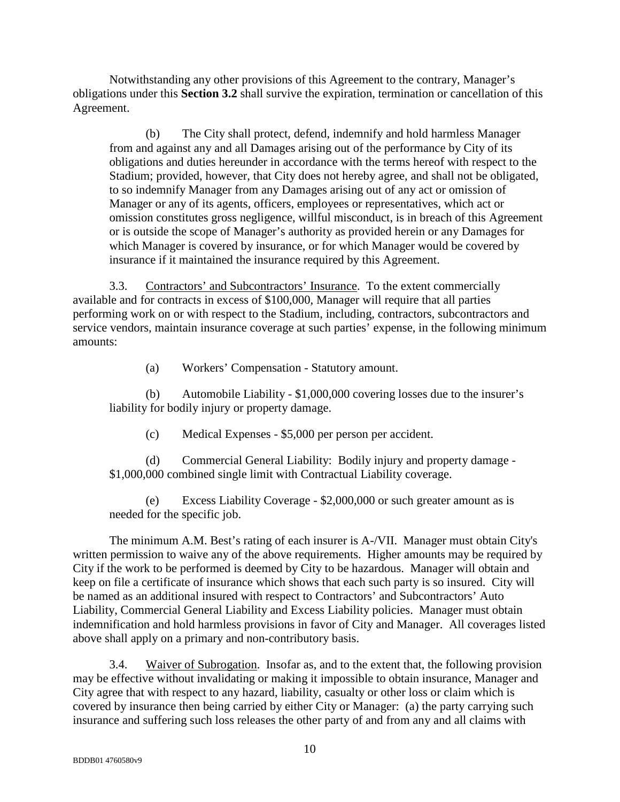Notwithstanding any other provisions of this Agreement to the contrary, Manager's obligations under this **Section 3.2** shall survive the expiration, termination or cancellation of this Agreement.

(b) The City shall protect, defend, indemnify and hold harmless Manager from and against any and all Damages arising out of the performance by City of its obligations and duties hereunder in accordance with the terms hereof with respect to the Stadium; provided, however, that City does not hereby agree, and shall not be obligated, to so indemnify Manager from any Damages arising out of any act or omission of Manager or any of its agents, officers, employees or representatives, which act or omission constitutes gross negligence, willful misconduct, is in breach of this Agreement or is outside the scope of Manager's authority as provided herein or any Damages for which Manager is covered by insurance, or for which Manager would be covered by insurance if it maintained the insurance required by this Agreement.

3.3. Contractors' and Subcontractors' Insurance. To the extent commercially available and for contracts in excess of \$100,000, Manager will require that all parties performing work on or with respect to the Stadium, including, contractors, subcontractors and service vendors, maintain insurance coverage at such parties' expense, in the following minimum amounts:

(a) Workers' Compensation - Statutory amount.

(b) Automobile Liability - \$1,000,000 covering losses due to the insurer's liability for bodily injury or property damage.

(c) Medical Expenses - \$5,000 per person per accident.

(d) Commercial General Liability: Bodily injury and property damage - \$1,000,000 combined single limit with Contractual Liability coverage.

(e) Excess Liability Coverage - \$2,000,000 or such greater amount as is needed for the specific job.

The minimum A.M. Best's rating of each insurer is A-/VII. Manager must obtain City's written permission to waive any of the above requirements. Higher amounts may be required by City if the work to be performed is deemed by City to be hazardous. Manager will obtain and keep on file a certificate of insurance which shows that each such party is so insured. City will be named as an additional insured with respect to Contractors' and Subcontractors' Auto Liability, Commercial General Liability and Excess Liability policies. Manager must obtain indemnification and hold harmless provisions in favor of City and Manager. All coverages listed above shall apply on a primary and non-contributory basis.

3.4. Waiver of Subrogation. Insofar as, and to the extent that, the following provision may be effective without invalidating or making it impossible to obtain insurance, Manager and City agree that with respect to any hazard, liability, casualty or other loss or claim which is covered by insurance then being carried by either City or Manager: (a) the party carrying such insurance and suffering such loss releases the other party of and from any and all claims with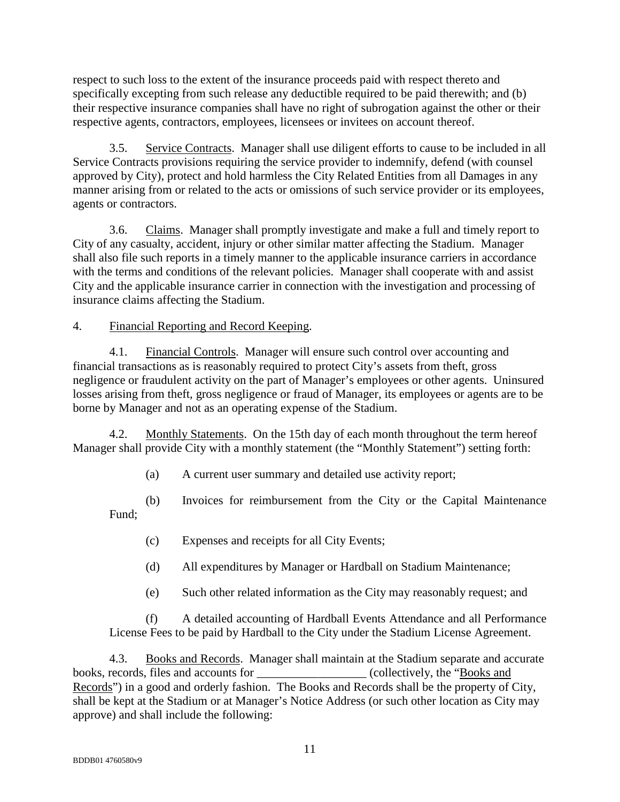respect to such loss to the extent of the insurance proceeds paid with respect thereto and specifically excepting from such release any deductible required to be paid therewith; and (b) their respective insurance companies shall have no right of subrogation against the other or their respective agents, contractors, employees, licensees or invitees on account thereof.

3.5. Service Contracts. Manager shall use diligent efforts to cause to be included in all Service Contracts provisions requiring the service provider to indemnify, defend (with counsel approved by City), protect and hold harmless the City Related Entities from all Damages in any manner arising from or related to the acts or omissions of such service provider or its employees, agents or contractors.

3.6. Claims. Manager shall promptly investigate and make a full and timely report to City of any casualty, accident, injury or other similar matter affecting the Stadium. Manager shall also file such reports in a timely manner to the applicable insurance carriers in accordance with the terms and conditions of the relevant policies. Manager shall cooperate with and assist City and the applicable insurance carrier in connection with the investigation and processing of insurance claims affecting the Stadium.

# 4. Financial Reporting and Record Keeping.

4.1. Financial Controls. Manager will ensure such control over accounting and financial transactions as is reasonably required to protect City's assets from theft, gross negligence or fraudulent activity on the part of Manager's employees or other agents. Uninsured losses arising from theft, gross negligence or fraud of Manager, its employees or agents are to be borne by Manager and not as an operating expense of the Stadium.

4.2. Monthly Statements. On the 15th day of each month throughout the term hereof Manager shall provide City with a monthly statement (the "Monthly Statement") setting forth:

(a) A current user summary and detailed use activity report;

(b) Invoices for reimbursement from the City or the Capital Maintenance Fund;

- (c) Expenses and receipts for all City Events;
- (d) All expenditures by Manager or Hardball on Stadium Maintenance;
- (e) Such other related information as the City may reasonably request; and

(f) A detailed accounting of Hardball Events Attendance and all Performance License Fees to be paid by Hardball to the City under the Stadium License Agreement.

4.3. Books and Records. Manager shall maintain at the Stadium separate and accurate books, records, files and accounts for \_\_\_\_\_\_\_\_\_\_\_\_\_\_\_\_\_\_ (collectively, the "Books and Records") in a good and orderly fashion. The Books and Records shall be the property of City, shall be kept at the Stadium or at Manager's Notice Address (or such other location as City may approve) and shall include the following: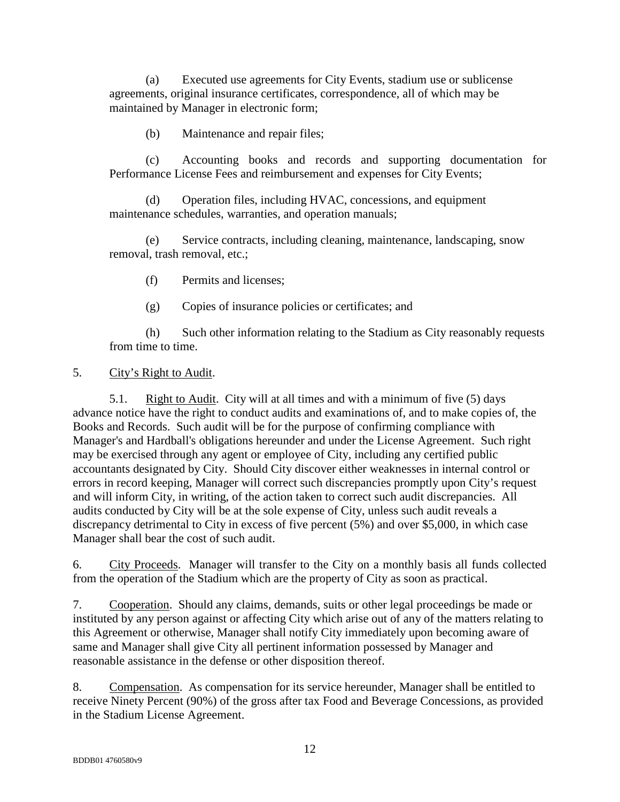(a) Executed use agreements for City Events, stadium use or sublicense agreements, original insurance certificates, correspondence, all of which may be maintained by Manager in electronic form;

(b) Maintenance and repair files;

(c) Accounting books and records and supporting documentation for Performance License Fees and reimbursement and expenses for City Events;

(d) Operation files, including HVAC, concessions, and equipment maintenance schedules, warranties, and operation manuals;

(e) Service contracts, including cleaning, maintenance, landscaping, snow removal, trash removal, etc.;

(f) Permits and licenses;

(g) Copies of insurance policies or certificates; and

(h) Such other information relating to the Stadium as City reasonably requests from time to time.

## 5. City's Right to Audit.

5.1. Right to Audit. City will at all times and with a minimum of five (5) days advance notice have the right to conduct audits and examinations of, and to make copies of, the Books and Records. Such audit will be for the purpose of confirming compliance with Manager's and Hardball's obligations hereunder and under the License Agreement. Such right may be exercised through any agent or employee of City, including any certified public accountants designated by City. Should City discover either weaknesses in internal control or errors in record keeping, Manager will correct such discrepancies promptly upon City's request and will inform City, in writing, of the action taken to correct such audit discrepancies. All audits conducted by City will be at the sole expense of City, unless such audit reveals a discrepancy detrimental to City in excess of five percent (5%) and over \$5,000, in which case Manager shall bear the cost of such audit.

6. City Proceeds. Manager will transfer to the City on a monthly basis all funds collected from the operation of the Stadium which are the property of City as soon as practical.

7. Cooperation. Should any claims, demands, suits or other legal proceedings be made or instituted by any person against or affecting City which arise out of any of the matters relating to this Agreement or otherwise, Manager shall notify City immediately upon becoming aware of same and Manager shall give City all pertinent information possessed by Manager and reasonable assistance in the defense or other disposition thereof.

8. Compensation. As compensation for its service hereunder, Manager shall be entitled to receive Ninety Percent (90%) of the gross after tax Food and Beverage Concessions, as provided in the Stadium License Agreement.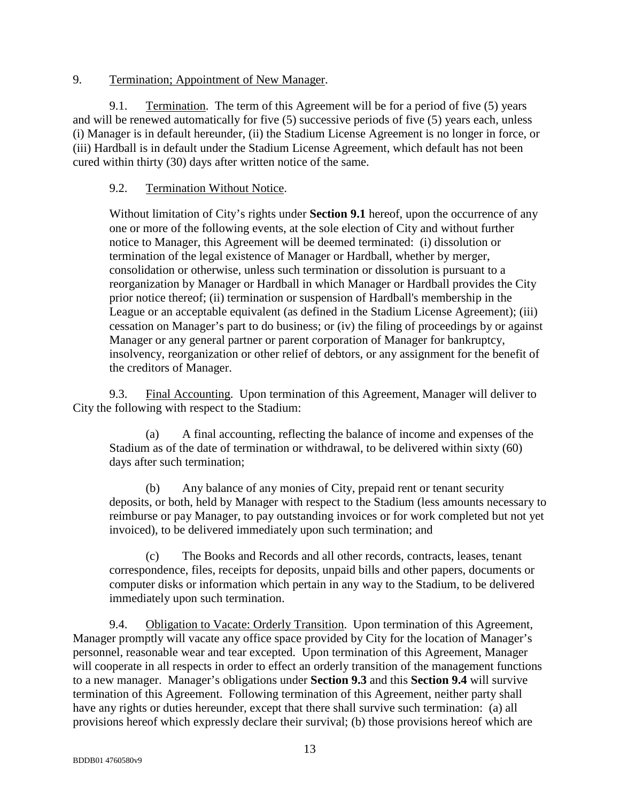### 9. Termination; Appointment of New Manager.

9.1. Termination. The term of this Agreement will be for a period of five (5) years and will be renewed automatically for five (5) successive periods of five (5) years each, unless (i) Manager is in default hereunder, (ii) the Stadium License Agreement is no longer in force, or (iii) Hardball is in default under the Stadium License Agreement, which default has not been cured within thirty (30) days after written notice of the same.

# 9.2. Termination Without Notice.

Without limitation of City's rights under **Section 9.1** hereof, upon the occurrence of any one or more of the following events, at the sole election of City and without further notice to Manager, this Agreement will be deemed terminated: (i) dissolution or termination of the legal existence of Manager or Hardball, whether by merger, consolidation or otherwise, unless such termination or dissolution is pursuant to a reorganization by Manager or Hardball in which Manager or Hardball provides the City prior notice thereof; (ii) termination or suspension of Hardball's membership in the League or an acceptable equivalent (as defined in the Stadium License Agreement); (iii) cessation on Manager's part to do business; or (iv) the filing of proceedings by or against Manager or any general partner or parent corporation of Manager for bankruptcy, insolvency, reorganization or other relief of debtors, or any assignment for the benefit of the creditors of Manager.

9.3. Final Accounting. Upon termination of this Agreement, Manager will deliver to City the following with respect to the Stadium:

(a) A final accounting, reflecting the balance of income and expenses of the Stadium as of the date of termination or withdrawal, to be delivered within sixty (60) days after such termination;

(b) Any balance of any monies of City, prepaid rent or tenant security deposits, or both, held by Manager with respect to the Stadium (less amounts necessary to reimburse or pay Manager, to pay outstanding invoices or for work completed but not yet invoiced), to be delivered immediately upon such termination; and

(c) The Books and Records and all other records, contracts, leases, tenant correspondence, files, receipts for deposits, unpaid bills and other papers, documents or computer disks or information which pertain in any way to the Stadium, to be delivered immediately upon such termination.

9.4. Obligation to Vacate: Orderly Transition. Upon termination of this Agreement, Manager promptly will vacate any office space provided by City for the location of Manager's personnel, reasonable wear and tear excepted. Upon termination of this Agreement, Manager will cooperate in all respects in order to effect an orderly transition of the management functions to a new manager. Manager's obligations under **Section 9.3** and this **Section 9.4** will survive termination of this Agreement. Following termination of this Agreement, neither party shall have any rights or duties hereunder, except that there shall survive such termination: (a) all provisions hereof which expressly declare their survival; (b) those provisions hereof which are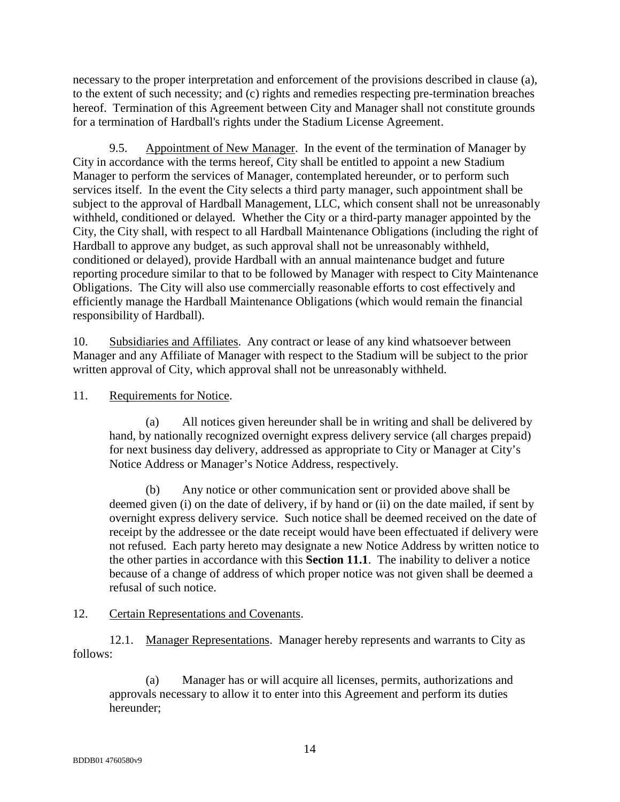necessary to the proper interpretation and enforcement of the provisions described in clause (a), to the extent of such necessity; and (c) rights and remedies respecting pre-termination breaches hereof. Termination of this Agreement between City and Manager shall not constitute grounds for a termination of Hardball's rights under the Stadium License Agreement.

9.5. Appointment of New Manager. In the event of the termination of Manager by City in accordance with the terms hereof, City shall be entitled to appoint a new Stadium Manager to perform the services of Manager, contemplated hereunder, or to perform such services itself. In the event the City selects a third party manager, such appointment shall be subject to the approval of Hardball Management, LLC, which consent shall not be unreasonably withheld, conditioned or delayed. Whether the City or a third-party manager appointed by the City, the City shall, with respect to all Hardball Maintenance Obligations (including the right of Hardball to approve any budget, as such approval shall not be unreasonably withheld, conditioned or delayed), provide Hardball with an annual maintenance budget and future reporting procedure similar to that to be followed by Manager with respect to City Maintenance Obligations. The City will also use commercially reasonable efforts to cost effectively and efficiently manage the Hardball Maintenance Obligations (which would remain the financial responsibility of Hardball).

10. Subsidiaries and Affiliates. Any contract or lease of any kind whatsoever between Manager and any Affiliate of Manager with respect to the Stadium will be subject to the prior written approval of City, which approval shall not be unreasonably withheld.

11. Requirements for Notice.

(a) All notices given hereunder shall be in writing and shall be delivered by hand, by nationally recognized overnight express delivery service (all charges prepaid) for next business day delivery, addressed as appropriate to City or Manager at City's Notice Address or Manager's Notice Address, respectively.

(b) Any notice or other communication sent or provided above shall be deemed given (i) on the date of delivery, if by hand or (ii) on the date mailed, if sent by overnight express delivery service. Such notice shall be deemed received on the date of receipt by the addressee or the date receipt would have been effectuated if delivery were not refused. Each party hereto may designate a new Notice Address by written notice to the other parties in accordance with this **Section 11.1**. The inability to deliver a notice because of a change of address of which proper notice was not given shall be deemed a refusal of such notice.

# 12. Certain Representations and Covenants.

12.1. Manager Representations. Manager hereby represents and warrants to City as follows:

(a) Manager has or will acquire all licenses, permits, authorizations and approvals necessary to allow it to enter into this Agreement and perform its duties hereunder;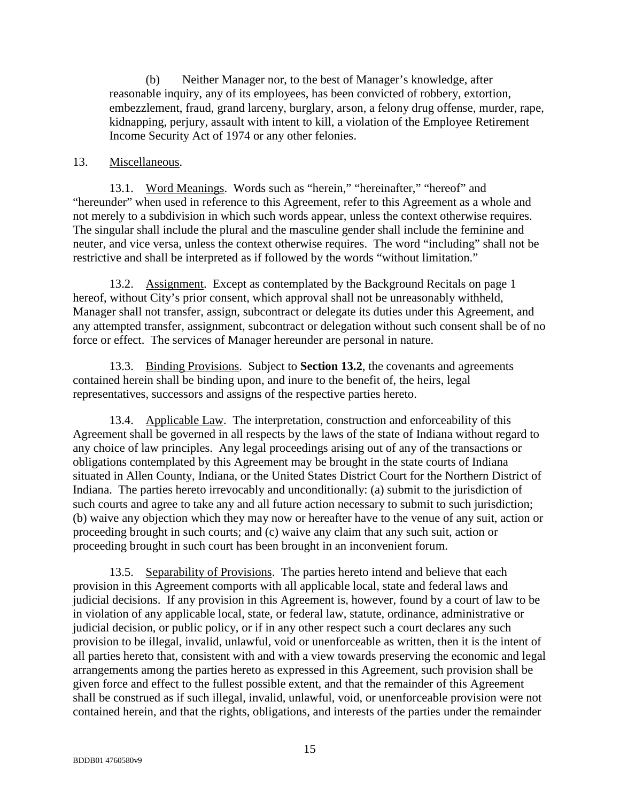(b) Neither Manager nor, to the best of Manager's knowledge, after reasonable inquiry, any of its employees, has been convicted of robbery, extortion, embezzlement, fraud, grand larceny, burglary, arson, a felony drug offense, murder, rape, kidnapping, perjury, assault with intent to kill, a violation of the Employee Retirement Income Security Act of 1974 or any other felonies.

#### 13. Miscellaneous.

13.1. Word Meanings. Words such as "herein," "hereinafter," "hereof" and "hereunder" when used in reference to this Agreement, refer to this Agreement as a whole and not merely to a subdivision in which such words appear, unless the context otherwise requires. The singular shall include the plural and the masculine gender shall include the feminine and neuter, and vice versa, unless the context otherwise requires. The word "including" shall not be restrictive and shall be interpreted as if followed by the words "without limitation."

13.2. Assignment. Except as contemplated by the Background Recitals on page 1 hereof, without City's prior consent, which approval shall not be unreasonably withheld, Manager shall not transfer, assign, subcontract or delegate its duties under this Agreement, and any attempted transfer, assignment, subcontract or delegation without such consent shall be of no force or effect. The services of Manager hereunder are personal in nature.

13.3. Binding Provisions. Subject to **Section 13.2**, the covenants and agreements contained herein shall be binding upon, and inure to the benefit of, the heirs, legal representatives, successors and assigns of the respective parties hereto.

13.4. Applicable Law. The interpretation, construction and enforceability of this Agreement shall be governed in all respects by the laws of the state of Indiana without regard to any choice of law principles. Any legal proceedings arising out of any of the transactions or obligations contemplated by this Agreement may be brought in the state courts of Indiana situated in Allen County, Indiana, or the United States District Court for the Northern District of Indiana. The parties hereto irrevocably and unconditionally: (a) submit to the jurisdiction of such courts and agree to take any and all future action necessary to submit to such jurisdiction; (b) waive any objection which they may now or hereafter have to the venue of any suit, action or proceeding brought in such courts; and (c) waive any claim that any such suit, action or proceeding brought in such court has been brought in an inconvenient forum.

13.5. Separability of Provisions. The parties hereto intend and believe that each provision in this Agreement comports with all applicable local, state and federal laws and judicial decisions. If any provision in this Agreement is, however, found by a court of law to be in violation of any applicable local, state, or federal law, statute, ordinance, administrative or judicial decision, or public policy, or if in any other respect such a court declares any such provision to be illegal, invalid, unlawful, void or unenforceable as written, then it is the intent of all parties hereto that, consistent with and with a view towards preserving the economic and legal arrangements among the parties hereto as expressed in this Agreement, such provision shall be given force and effect to the fullest possible extent, and that the remainder of this Agreement shall be construed as if such illegal, invalid, unlawful, void, or unenforceable provision were not contained herein, and that the rights, obligations, and interests of the parties under the remainder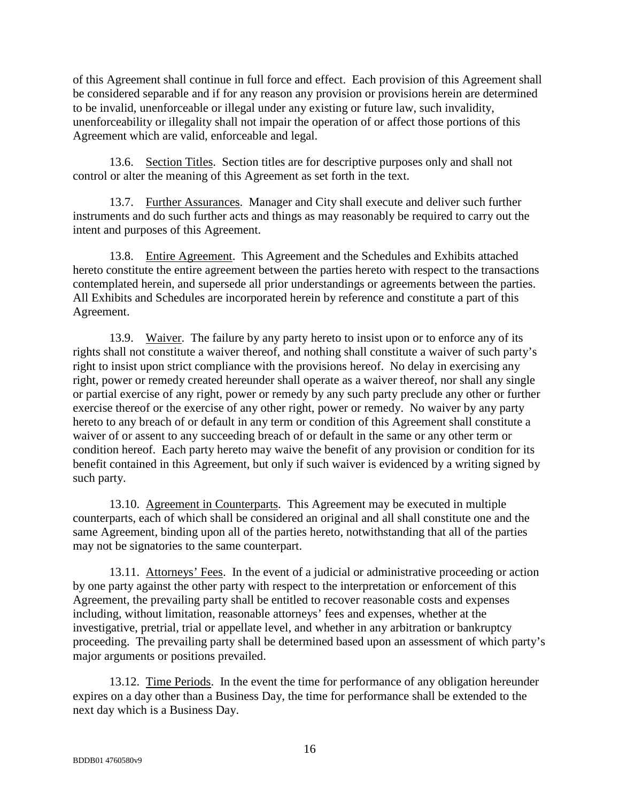of this Agreement shall continue in full force and effect. Each provision of this Agreement shall be considered separable and if for any reason any provision or provisions herein are determined to be invalid, unenforceable or illegal under any existing or future law, such invalidity, unenforceability or illegality shall not impair the operation of or affect those portions of this Agreement which are valid, enforceable and legal.

13.6. Section Titles.Section titles are for descriptive purposes only and shall not control or alter the meaning of this Agreement as set forth in the text.

13.7. Further Assurances. Manager and City shall execute and deliver such further instruments and do such further acts and things as may reasonably be required to carry out the intent and purposes of this Agreement.

13.8. Entire Agreement. This Agreement and the Schedules and Exhibits attached hereto constitute the entire agreement between the parties hereto with respect to the transactions contemplated herein, and supersede all prior understandings or agreements between the parties. All Exhibits and Schedules are incorporated herein by reference and constitute a part of this Agreement.

13.9. Waiver. The failure by any party hereto to insist upon or to enforce any of its rights shall not constitute a waiver thereof, and nothing shall constitute a waiver of such party's right to insist upon strict compliance with the provisions hereof. No delay in exercising any right, power or remedy created hereunder shall operate as a waiver thereof, nor shall any single or partial exercise of any right, power or remedy by any such party preclude any other or further exercise thereof or the exercise of any other right, power or remedy. No waiver by any party hereto to any breach of or default in any term or condition of this Agreement shall constitute a waiver of or assent to any succeeding breach of or default in the same or any other term or condition hereof. Each party hereto may waive the benefit of any provision or condition for its benefit contained in this Agreement, but only if such waiver is evidenced by a writing signed by such party.

13.10. Agreement in Counterparts. This Agreement may be executed in multiple counterparts, each of which shall be considered an original and all shall constitute one and the same Agreement, binding upon all of the parties hereto, notwithstanding that all of the parties may not be signatories to the same counterpart.

13.11. Attorneys' Fees. In the event of a judicial or administrative proceeding or action by one party against the other party with respect to the interpretation or enforcement of this Agreement, the prevailing party shall be entitled to recover reasonable costs and expenses including, without limitation, reasonable attorneys' fees and expenses, whether at the investigative, pretrial, trial or appellate level, and whether in any arbitration or bankruptcy proceeding. The prevailing party shall be determined based upon an assessment of which party's major arguments or positions prevailed.

13.12. Time Periods. In the event the time for performance of any obligation hereunder expires on a day other than a Business Day, the time for performance shall be extended to the next day which is a Business Day.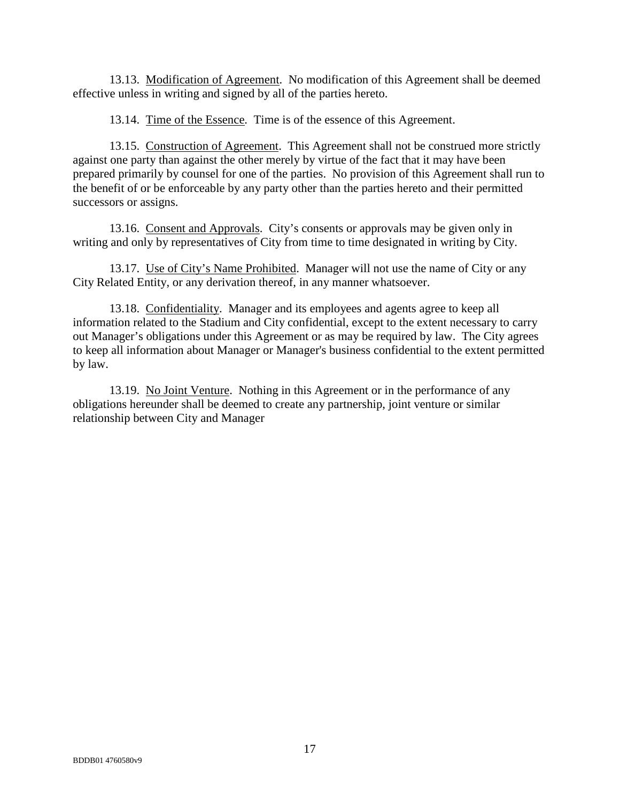13.13. Modification of Agreement. No modification of this Agreement shall be deemed effective unless in writing and signed by all of the parties hereto.

13.14. Time of the Essence. Time is of the essence of this Agreement.

13.15. Construction of Agreement. This Agreement shall not be construed more strictly against one party than against the other merely by virtue of the fact that it may have been prepared primarily by counsel for one of the parties. No provision of this Agreement shall run to the benefit of or be enforceable by any party other than the parties hereto and their permitted successors or assigns.

13.16. Consent and Approvals. City's consents or approvals may be given only in writing and only by representatives of City from time to time designated in writing by City.

13.17. Use of City's Name Prohibited. Manager will not use the name of City or any City Related Entity, or any derivation thereof, in any manner whatsoever.

13.18. Confidentiality. Manager and its employees and agents agree to keep all information related to the Stadium and City confidential, except to the extent necessary to carry out Manager's obligations under this Agreement or as may be required by law. The City agrees to keep all information about Manager or Manager's business confidential to the extent permitted by law.

13.19. No Joint Venture. Nothing in this Agreement or in the performance of any obligations hereunder shall be deemed to create any partnership, joint venture or similar relationship between City and Manager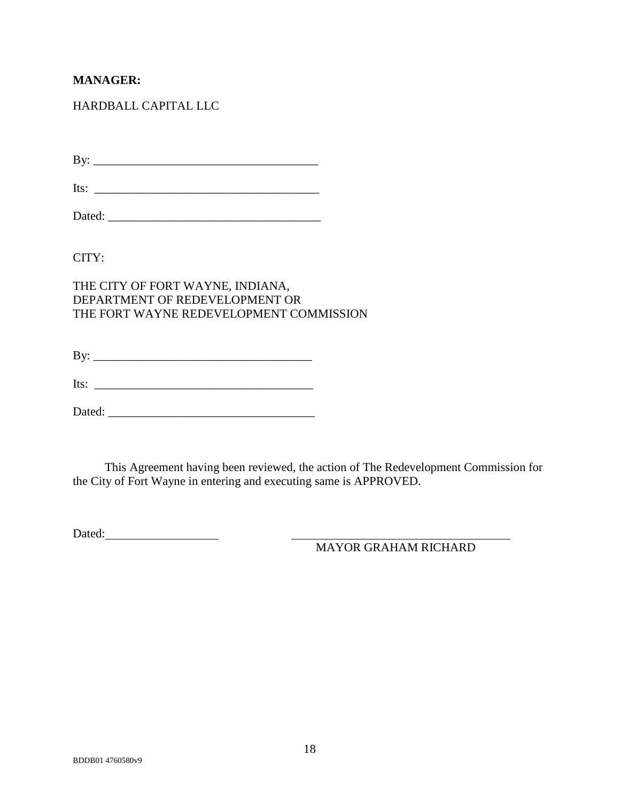### **MANAGER:**

## HARDBALL CAPITAL LLC

By: \_\_\_\_\_\_\_\_\_\_\_\_\_\_\_\_\_\_\_\_\_\_\_\_\_\_\_\_\_\_\_\_\_\_\_\_\_

 $Its: \_$ 

Dated: \_\_\_\_\_\_\_\_\_\_\_\_\_\_\_\_\_\_\_\_\_\_\_\_\_\_\_\_\_\_\_\_\_\_\_

CITY:

## THE CITY OF FORT WAYNE, INDIANA, DEPARTMENT OF REDEVELOPMENT OR THE FORT WAYNE REDEVELOPMENT COMMISSION

By: \_\_\_\_\_\_\_\_\_\_\_\_\_\_\_\_\_\_\_\_\_\_\_\_\_\_\_\_\_\_\_\_\_\_\_\_

Its:  $\Box$ 

Dated: \_\_\_\_\_\_\_\_\_\_\_\_\_\_\_\_\_\_\_\_\_\_\_\_\_\_\_\_\_\_\_\_\_\_

This Agreement having been reviewed, the action of The Redevelopment Commission for the City of Fort Wayne in entering and executing same is APPROVED.

Dated:

MAYOR GRAHAM RICHARD